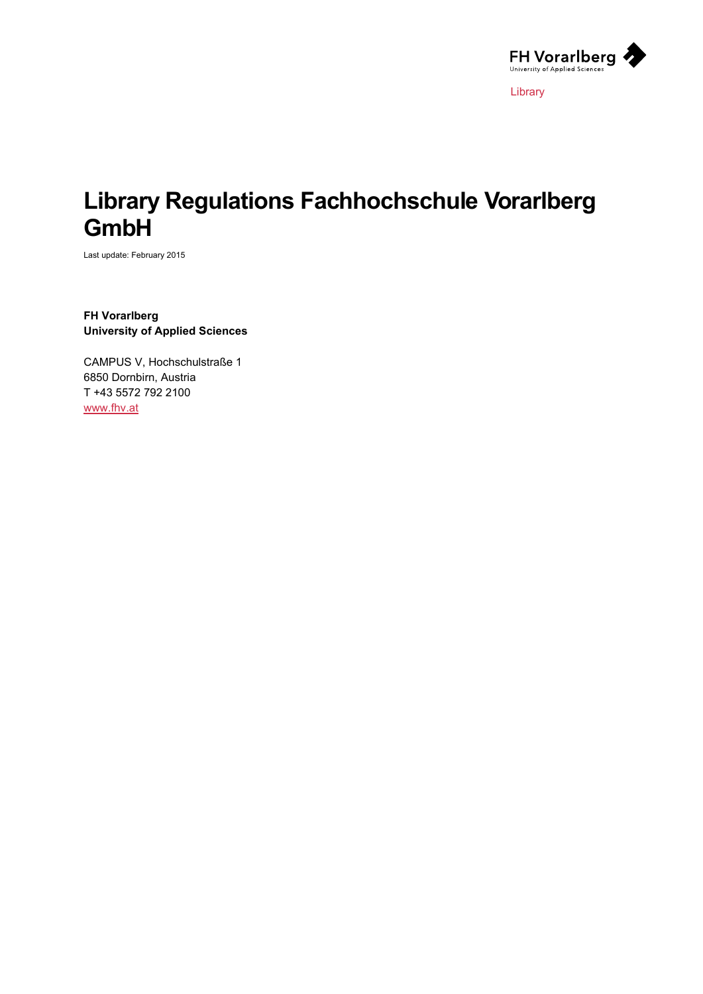

Library

# **Library Regulations Fachhochschule Vorarlberg GmbH**

Last update: February 2015

**FH Vorarlberg University of Applied Sciences**

CAMPUS V, Hochschulstraße 1 6850 Dornbirn, Austria T +43 5572 792 2100 [www.fhv.at](http://www.fhv.at/)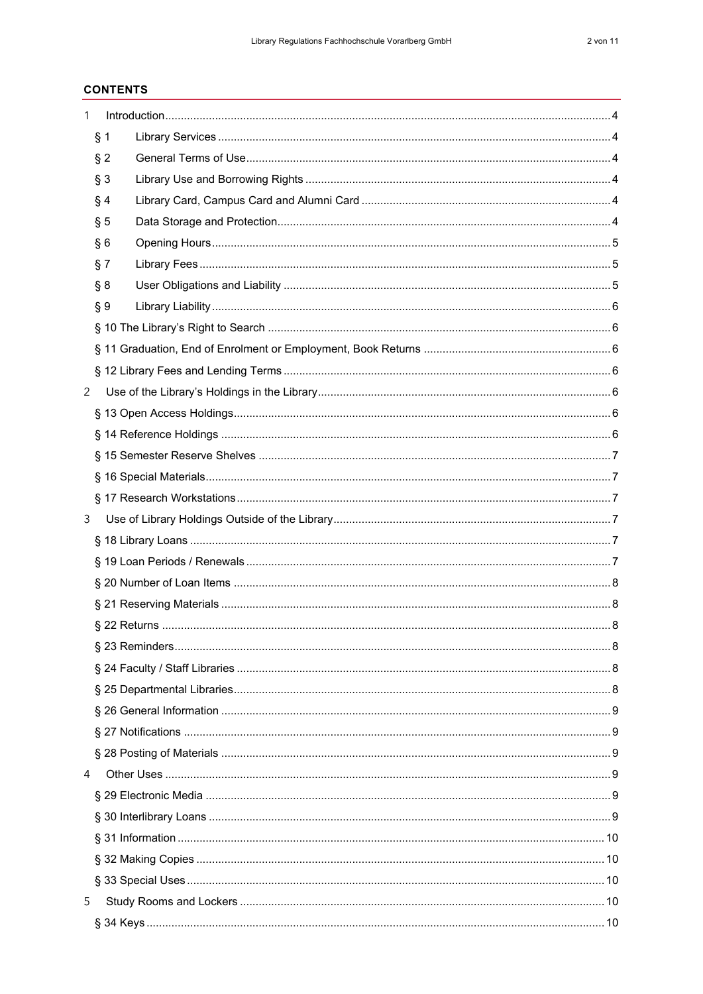# **CONTENTS**

| 1 |       |  |  |
|---|-------|--|--|
|   | § 1   |  |  |
|   | $§$ 2 |  |  |
|   | § 3   |  |  |
|   | § 4   |  |  |
|   | § 5   |  |  |
|   | §6    |  |  |
|   | § 7   |  |  |
|   | § 8   |  |  |
|   | § 9   |  |  |
|   |       |  |  |
|   |       |  |  |
|   |       |  |  |
| 2 |       |  |  |
|   |       |  |  |
|   |       |  |  |
|   |       |  |  |
|   |       |  |  |
|   |       |  |  |
| 3 |       |  |  |
|   |       |  |  |
|   |       |  |  |
|   |       |  |  |
|   |       |  |  |
|   |       |  |  |
|   |       |  |  |
|   |       |  |  |
|   |       |  |  |
|   |       |  |  |
|   |       |  |  |
|   |       |  |  |
| 4 |       |  |  |
|   |       |  |  |
|   |       |  |  |
|   |       |  |  |
|   |       |  |  |
|   |       |  |  |
| 5 |       |  |  |
|   |       |  |  |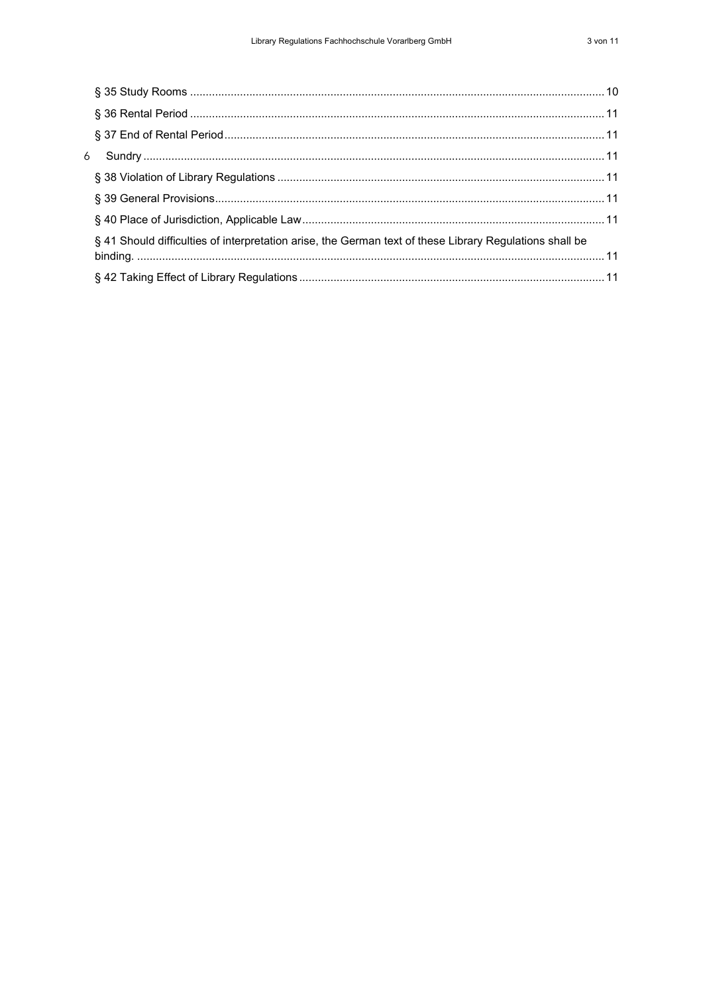| 6 |                                                                                                         |  |
|---|---------------------------------------------------------------------------------------------------------|--|
|   |                                                                                                         |  |
|   |                                                                                                         |  |
|   |                                                                                                         |  |
|   | § 41 Should difficulties of interpretation arise, the German text of these Library Regulations shall be |  |
|   |                                                                                                         |  |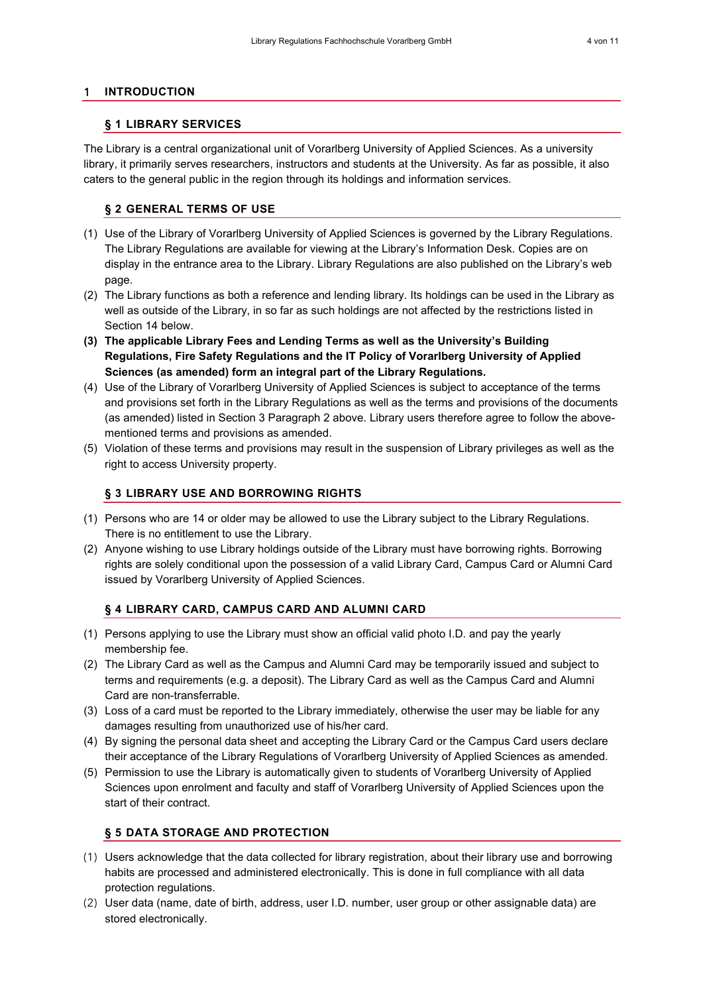#### <span id="page-3-1"></span><span id="page-3-0"></span>1 **INTRODUCTION**

#### **§ 1 LIBRARY SERVICES**

The Library is a central organizational unit of Vorarlberg University of Applied Sciences. As a university library, it primarily serves researchers, instructors and students at the University. As far as possible, it also caters to the general public in the region through its holdings and information services.

#### <span id="page-3-2"></span>**§ 2 GENERAL TERMS OF USE**

- (1) Use of the Library of Vorarlberg University of Applied Sciences is governed by the Library Regulations. The Library Regulations are available for viewing at the Library's Information Desk. Copies are on display in the entrance area to the Library. Library Regulations are also published on the Library's web page.
- (2) The Library functions as both a reference and lending library. Its holdings can be used in the Library as well as outside of the Library, in so far as such holdings are not affected by the restrictions listed in Section 14 below.
- **(3) The applicable Library Fees and Lending Terms as well as the University's Building Regulations, Fire Safety Regulations and the IT Policy of Vorarlberg University of Applied Sciences (as amended) form an integral part of the Library Regulations.**
- (4) Use of the Library of Vorarlberg University of Applied Sciences is subject to acceptance of the terms and provisions set forth in the Library Regulations as well as the terms and provisions of the documents (as amended) listed in Section 3 Paragraph 2 above. Library users therefore agree to follow the abovementioned terms and provisions as amended.
- (5) Violation of these terms and provisions may result in the suspension of Library privileges as well as the right to access University property.

## <span id="page-3-3"></span>**§ 3 LIBRARY USE AND BORROWING RIGHTS**

- (1) Persons who are 14 or older may be allowed to use the Library subject to the Library Regulations. There is no entitlement to use the Library.
- (2) Anyone wishing to use Library holdings outside of the Library must have borrowing rights. Borrowing rights are solely conditional upon the possession of a valid Library Card, Campus Card or Alumni Card issued by Vorarlberg University of Applied Sciences.

# <span id="page-3-4"></span>**§ 4 LIBRARY CARD, CAMPUS CARD AND ALUMNI CARD**

- (1) Persons applying to use the Library must show an official valid photo I.D. and pay the yearly membership fee.
- (2) The Library Card as well as the Campus and Alumni Card may be temporarily issued and subject to terms and requirements (e.g. a deposit). The Library Card as well as the Campus Card and Alumni Card are non-transferrable.
- (3) Loss of a card must be reported to the Library immediately, otherwise the user may be liable for any damages resulting from unauthorized use of his/her card.
- (4) By signing the personal data sheet and accepting the Library Card or the Campus Card users declare their acceptance of the Library Regulations of Vorarlberg University of Applied Sciences as amended.
- (5) Permission to use the Library is automatically given to students of Vorarlberg University of Applied Sciences upon enrolment and faculty and staff of Vorarlberg University of Applied Sciences upon the start of their contract.

# <span id="page-3-5"></span>**§ 5 DATA STORAGE AND PROTECTION**

- (1) Users acknowledge that the data collected for library registration, about their library use and borrowing habits are processed and administered electronically. This is done in full compliance with all data protection regulations.
- (2) User data (name, date of birth, address, user I.D. number, user group or other assignable data) are stored electronically.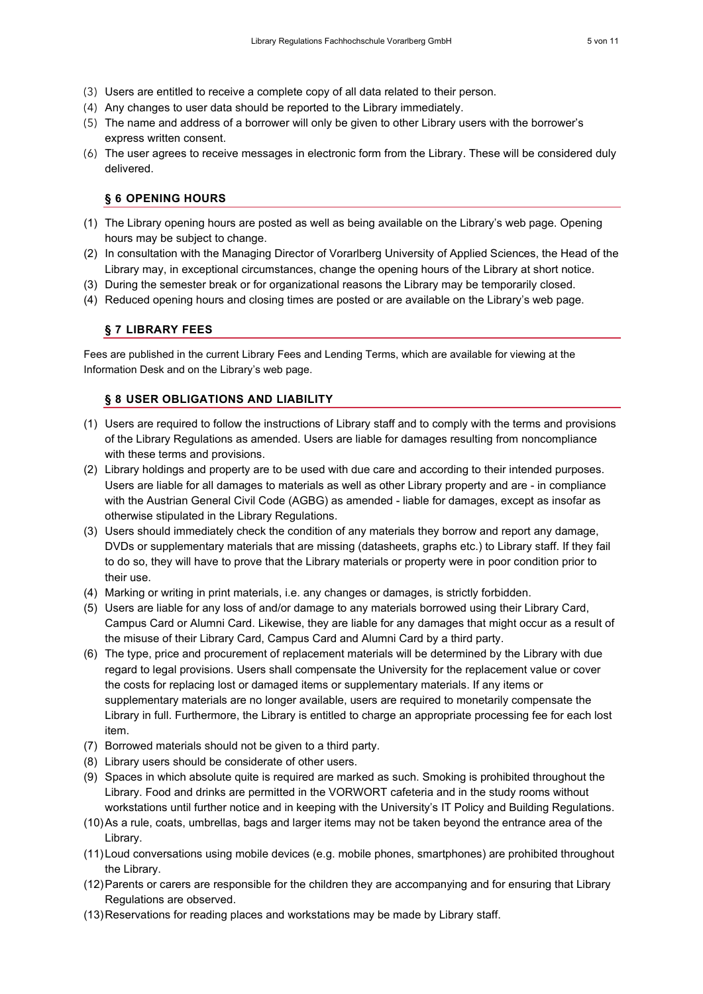- (3) Users are entitled to receive a complete copy of all data related to their person.
- (4) Any changes to user data should be reported to the Library immediately.
- (5) The name and address of a borrower will only be given to other Library users with the borrower's express written consent.
- <span id="page-4-0"></span>(6) The user agrees to receive messages in electronic form from the Library. These will be considered duly delivered.

#### **§ 6 OPENING HOURS**

- (1) The Library opening hours are posted as well as being available on the Library's web page. Opening hours may be subject to change.
- (2) In consultation with the Managing Director of Vorarlberg University of Applied Sciences, the Head of the Library may, in exceptional circumstances, change the opening hours of the Library at short notice.
- (3) During the semester break or for organizational reasons the Library may be temporarily closed.
- <span id="page-4-1"></span>(4) Reduced opening hours and closing times are posted or are available on the Library's web page.

#### **§ 7 LIBRARY FEES**

<span id="page-4-2"></span>Fees are published in the current Library Fees and Lending Terms, which are available for viewing at the Information Desk and on the Library's web page.

#### **§ 8 USER OBLIGATIONS AND LIABILITY**

- (1) Users are required to follow the instructions of Library staff and to comply with the terms and provisions of the Library Regulations as amended. Users are liable for damages resulting from noncompliance with these terms and provisions.
- (2) Library holdings and property are to be used with due care and according to their intended purposes. Users are liable for all damages to materials as well as other Library property and are - in compliance with the Austrian General Civil Code (AGBG) as amended - liable for damages, except as insofar as otherwise stipulated in the Library Regulations.
- (3) Users should immediately check the condition of any materials they borrow and report any damage, DVDs or supplementary materials that are missing (datasheets, graphs etc.) to Library staff. If they fail to do so, they will have to prove that the Library materials or property were in poor condition prior to their use.
- (4) Marking or writing in print materials, i.e. any changes or damages, is strictly forbidden.
- (5) Users are liable for any loss of and/or damage to any materials borrowed using their Library Card, Campus Card or Alumni Card. Likewise, they are liable for any damages that might occur as a result of the misuse of their Library Card, Campus Card and Alumni Card by a third party.
- (6) The type, price and procurement of replacement materials will be determined by the Library with due regard to legal provisions. Users shall compensate the University for the replacement value or cover the costs for replacing lost or damaged items or supplementary materials. If any items or supplementary materials are no longer available, users are required to monetarily compensate the Library in full. Furthermore, the Library is entitled to charge an appropriate processing fee for each lost item.
- (7) Borrowed materials should not be given to a third party.
- (8) Library users should be considerate of other users.
- (9) Spaces in which absolute quite is required are marked as such. Smoking is prohibited throughout the Library. Food and drinks are permitted in the VORWORT cafeteria and in the study rooms without workstations until further notice and in keeping with the University's IT Policy and Building Regulations.
- (10)As a rule, coats, umbrellas, bags and larger items may not be taken beyond the entrance area of the Library.
- (11)Loud conversations using mobile devices (e.g. mobile phones, smartphones) are prohibited throughout the Library.
- (12)Parents or carers are responsible for the children they are accompanying and for ensuring that Library Regulations are observed.
- (13)Reservations for reading places and workstations may be made by Library staff.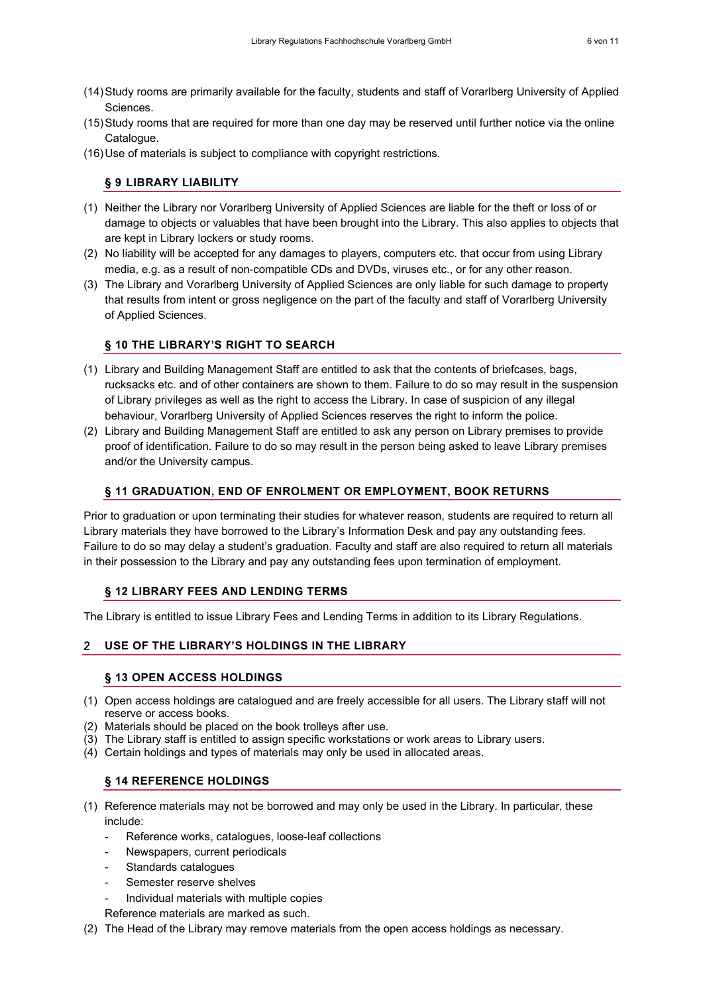- (14)Study rooms are primarily available for the faculty, students and staff of Vorarlberg University of Applied Sciences.
- (15)Study rooms that are required for more than one day may be reserved until further notice via the online Catalogue.
- <span id="page-5-0"></span>(16)Use of materials is subject to compliance with copyright restrictions.

#### **§ 9 LIBRARY LIABILITY**

- (1) Neither the Library nor Vorarlberg University of Applied Sciences are liable for the theft or loss of or damage to objects or valuables that have been brought into the Library. This also applies to objects that are kept in Library lockers or study rooms.
- (2) No liability will be accepted for any damages to players, computers etc. that occur from using Library media, e.g. as a result of non-compatible CDs and DVDs, viruses etc., or for any other reason.
- (3) The Library and Vorarlberg University of Applied Sciences are only liable for such damage to property that results from intent or gross negligence on the part of the faculty and staff of Vorarlberg University of Applied Sciences.

#### <span id="page-5-1"></span>**§ 10 THE LIBRARY'S RIGHT TO SEARCH**

- (1) Library and Building Management Staff are entitled to ask that the contents of briefcases, bags, rucksacks etc. and of other containers are shown to them. Failure to do so may result in the suspension of Library privileges as well as the right to access the Library. In case of suspicion of any illegal behaviour, Vorarlberg University of Applied Sciences reserves the right to inform the police.
- (2) Library and Building Management Staff are entitled to ask any person on Library premises to provide proof of identification. Failure to do so may result in the person being asked to leave Library premises and/or the University campus.

#### <span id="page-5-2"></span>**§ 11 GRADUATION, END OF ENROLMENT OR EMPLOYMENT, BOOK RETURNS**

Prior to graduation or upon terminating their studies for whatever reason, students are required to return all Library materials they have borrowed to the Library's Information Desk and pay any outstanding fees. Failure to do so may delay a student's graduation. Faculty and staff are also required to return all materials in their possession to the Library and pay any outstanding fees upon termination of employment.

#### <span id="page-5-3"></span>**§ 12 LIBRARY FEES AND LENDING TERMS**

<span id="page-5-4"></span>The Library is entitled to issue Library Fees and Lending Terms in addition to its Library Regulations.

#### <span id="page-5-5"></span>2 **USE OF THE LIBRARY'S HOLDINGS IN THE LIBRARY**

#### **§ 13 OPEN ACCESS HOLDINGS**

- (1) Open access holdings are catalogued and are freely accessible for all users. The Library staff will not reserve or access books.
- (2) Materials should be placed on the book trolleys after use.
- (3) The Library staff is entitled to assign specific workstations or work areas to Library users.
- <span id="page-5-6"></span>(4) Certain holdings and types of materials may only be used in allocated areas.

#### **§ 14 REFERENCE HOLDINGS**

- (1) Reference materials may not be borrowed and may only be used in the Library. In particular, these include:
	- Reference works, catalogues, loose-leaf collections
	- Newspapers, current periodicals
	- Standards catalogues
	- Semester reserve shelves
	- Individual materials with multiple copies

Reference materials are marked as such.

(2) The Head of the Library may remove materials from the open access holdings as necessary.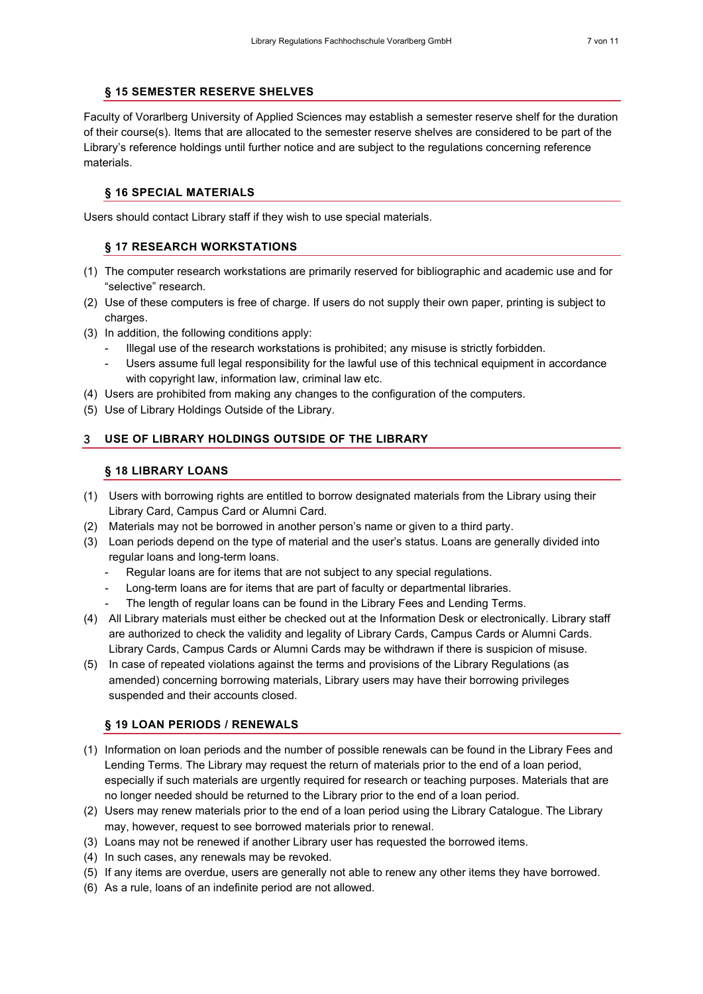# <span id="page-6-0"></span>**§ 15 SEMESTER RESERVE SHELVES**

Faculty of Vorarlberg University of Applied Sciences may establish a semester reserve shelf for the duration of their course(s). Items that are allocated to the semester reserve shelves are considered to be part of the Library's reference holdings until further notice and are subject to the regulations concerning reference materials.

#### <span id="page-6-1"></span>**§ 16 SPECIAL MATERIALS**

<span id="page-6-2"></span>Users should contact Library staff if they wish to use special materials.

## **§ 17 RESEARCH WORKSTATIONS**

- (1) The computer research workstations are primarily reserved for bibliographic and academic use and for "selective" research.
- (2) Use of these computers is free of charge. If users do not supply their own paper, printing is subject to charges.
- (3) In addition, the following conditions apply:
	- Illegal use of the research workstations is prohibited; any misuse is strictly forbidden.
	- Users assume full legal responsibility for the lawful use of this technical equipment in accordance with copyright law, information law, criminal law etc.
- (4) Users are prohibited from making any changes to the configuration of the computers.
- <span id="page-6-3"></span>(5) Use of Library Holdings Outside of the Library.

# <span id="page-6-4"></span>3 **USE OF LIBRARY HOLDINGS OUTSIDE OF THE LIBRARY**

## **§ 18 LIBRARY LOANS**

- (1) Users with borrowing rights are entitled to borrow designated materials from the Library using their Library Card, Campus Card or Alumni Card.
- (2) Materials may not be borrowed in another person's name or given to a third party.
- (3) Loan periods depend on the type of material and the user's status. Loans are generally divided into regular loans and long-term loans.
	- Regular loans are for items that are not subject to any special regulations.
	- Long-term loans are for items that are part of faculty or departmental libraries.
	- The length of regular loans can be found in the Library Fees and Lending Terms.
- (4) All Library materials must either be checked out at the Information Desk or electronically. Library staff are authorized to check the validity and legality of Library Cards, Campus Cards or Alumni Cards. Library Cards, Campus Cards or Alumni Cards may be withdrawn if there is suspicion of misuse.
- (5) In case of repeated violations against the terms and provisions of the Library Regulations (as amended) concerning borrowing materials, Library users may have their borrowing privileges suspended and their accounts closed.

#### <span id="page-6-5"></span>**§ 19 LOAN PERIODS / RENEWALS**

- (1) Information on loan periods and the number of possible renewals can be found in the Library Fees and Lending Terms. The Library may request the return of materials prior to the end of a loan period, especially if such materials are urgently required for research or teaching purposes. Materials that are no longer needed should be returned to the Library prior to the end of a loan period.
- (2) Users may renew materials prior to the end of a loan period using the Library Catalogue. The Library may, however, request to see borrowed materials prior to renewal.
- (3) Loans may not be renewed if another Library user has requested the borrowed items.
- (4) In such cases, any renewals may be revoked.
- (5) If any items are overdue, users are generally not able to renew any other items they have borrowed.
- (6) As a rule, loans of an indefinite period are not allowed.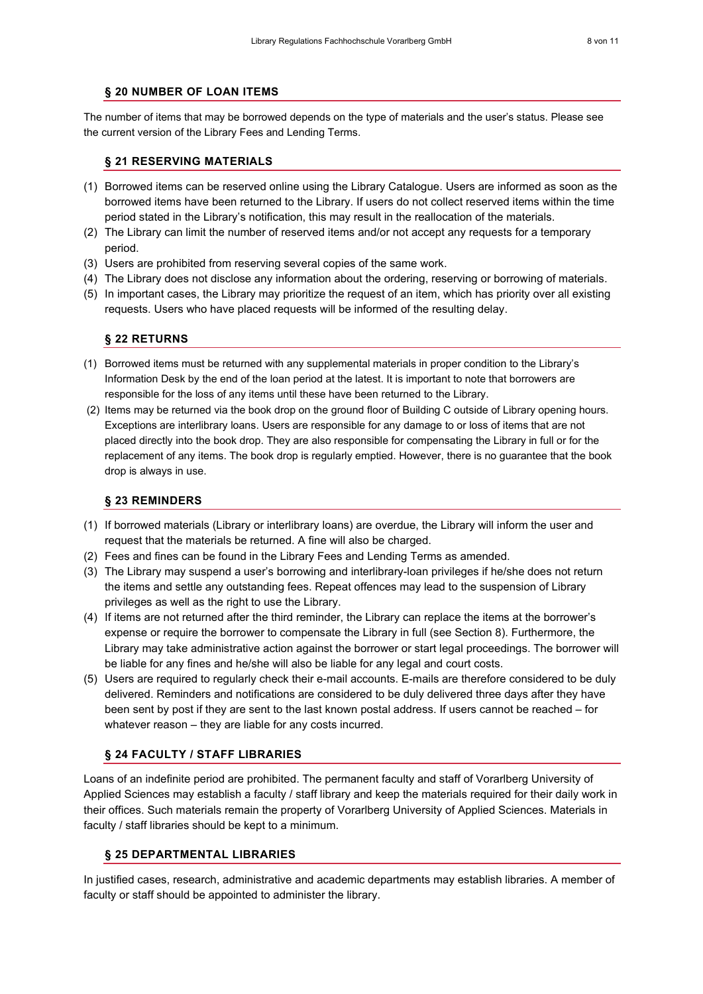## <span id="page-7-0"></span>**§ 20 NUMBER OF LOAN ITEMS**

<span id="page-7-1"></span>The number of items that may be borrowed depends on the type of materials and the user's status. Please see the current version of the Library Fees and Lending Terms.

## **§ 21 RESERVING MATERIALS**

- (1) Borrowed items can be reserved online using the Library Catalogue. Users are informed as soon as the borrowed items have been returned to the Library. If users do not collect reserved items within the time period stated in the Library's notification, this may result in the reallocation of the materials.
- (2) The Library can limit the number of reserved items and/or not accept any requests for a temporary period.
- (3) Users are prohibited from reserving several copies of the same work.
- (4) The Library does not disclose any information about the ordering, reserving or borrowing of materials.
- (5) In important cases, the Library may prioritize the request of an item, which has priority over all existing requests. Users who have placed requests will be informed of the resulting delay.

#### <span id="page-7-2"></span>**§ 22 RETURNS**

- (1) Borrowed items must be returned with any supplemental materials in proper condition to the Library's Information Desk by the end of the loan period at the latest. It is important to note that borrowers are responsible for the loss of any items until these have been returned to the Library.
- (2) Items may be returned via the book drop on the ground floor of Building C outside of Library opening hours. Exceptions are interlibrary loans. Users are responsible for any damage to or loss of items that are not placed directly into the book drop. They are also responsible for compensating the Library in full or for the replacement of any items. The book drop is regularly emptied. However, there is no guarantee that the book drop is always in use.

#### <span id="page-7-3"></span>**§ 23 REMINDERS**

- (1) If borrowed materials (Library or interlibrary loans) are overdue, the Library will inform the user and request that the materials be returned. A fine will also be charged.
- (2) Fees and fines can be found in the Library Fees and Lending Terms as amended.
- (3) The Library may suspend a user's borrowing and interlibrary-loan privileges if he/she does not return the items and settle any outstanding fees. Repeat offences may lead to the suspension of Library privileges as well as the right to use the Library.
- (4) If items are not returned after the third reminder, the Library can replace the items at the borrower's expense or require the borrower to compensate the Library in full (see Section 8). Furthermore, the Library may take administrative action against the borrower or start legal proceedings. The borrower will be liable for any fines and he/she will also be liable for any legal and court costs.
- (5) Users are required to regularly check their e-mail accounts. E-mails are therefore considered to be duly delivered. Reminders and notifications are considered to be duly delivered three days after they have been sent by post if they are sent to the last known postal address. If users cannot be reached – for whatever reason – they are liable for any costs incurred.

#### <span id="page-7-4"></span>**§ 24 FACULTY / STAFF LIBRARIES**

Loans of an indefinite period are prohibited. The permanent faculty and staff of Vorarlberg University of Applied Sciences may establish a faculty / staff library and keep the materials required for their daily work in their offices. Such materials remain the property of Vorarlberg University of Applied Sciences. Materials in faculty / staff libraries should be kept to a minimum.

#### <span id="page-7-5"></span>**§ 25 DEPARTMENTAL LIBRARIES**

In justified cases, research, administrative and academic departments may establish libraries. A member of faculty or staff should be appointed to administer the library.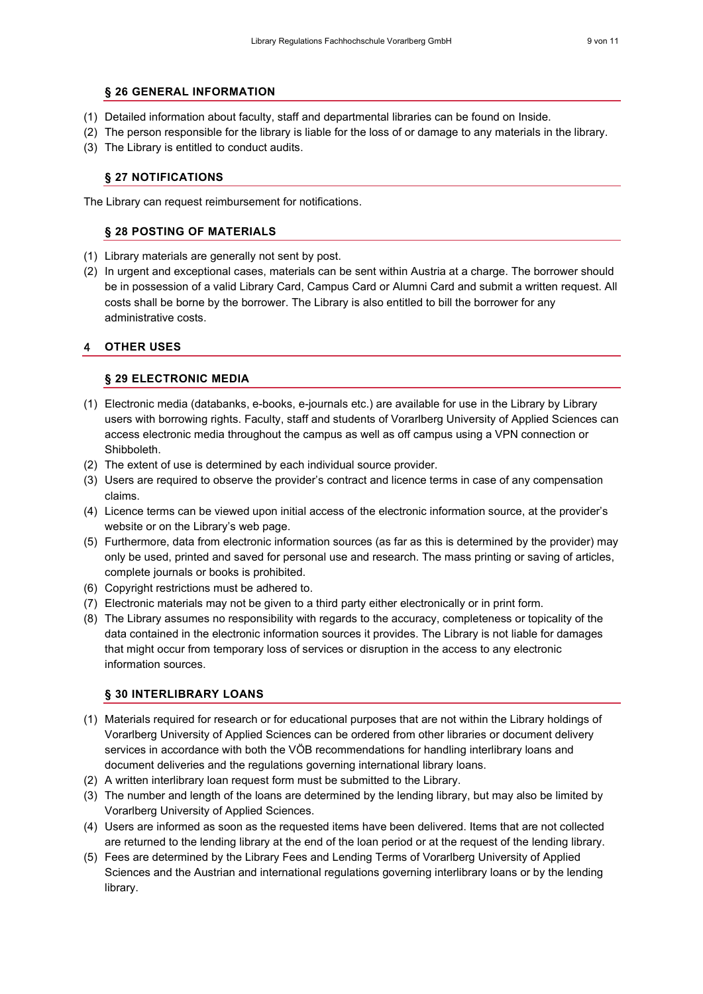#### <span id="page-8-0"></span>**§ 26 GENERAL INFORMATION**

- (1) Detailed information about faculty, staff and departmental libraries can be found on Inside.
- (2) The person responsible for the library is liable for the loss of or damage to any materials in the library.
- <span id="page-8-1"></span>(3) The Library is entitled to conduct audits.

#### **§ 27 NOTIFICATIONS**

<span id="page-8-2"></span>The Library can request reimbursement for notifications.

#### **§ 28 POSTING OF MATERIALS**

- (1) Library materials are generally not sent by post.
- (2) In urgent and exceptional cases, materials can be sent within Austria at a charge. The borrower should be in possession of a valid Library Card, Campus Card or Alumni Card and submit a written request. All costs shall be borne by the borrower. The Library is also entitled to bill the borrower for any administrative costs.

#### <span id="page-8-4"></span><span id="page-8-3"></span>4 **OTHER USES**

#### **§ 29 ELECTRONIC MEDIA**

- (1) Electronic media (databanks, e-books, e-journals etc.) are available for use in the Library by Library users with borrowing rights. Faculty, staff and students of Vorarlberg University of Applied Sciences can access electronic media throughout the campus as well as off campus using a VPN connection or Shibboleth.
- (2) The extent of use is determined by each individual source provider.
- (3) Users are required to observe the provider's contract and licence terms in case of any compensation claims.
- (4) Licence terms can be viewed upon initial access of the electronic information source, at the provider's website or on the Library's web page.
- (5) Furthermore, data from electronic information sources (as far as this is determined by the provider) may only be used, printed and saved for personal use and research. The mass printing or saving of articles, complete journals or books is prohibited.
- (6) Copyright restrictions must be adhered to.
- (7) Electronic materials may not be given to a third party either electronically or in print form.
- (8) The Library assumes no responsibility with regards to the accuracy, completeness or topicality of the data contained in the electronic information sources it provides. The Library is not liable for damages that might occur from temporary loss of services or disruption in the access to any electronic information sources.

#### <span id="page-8-5"></span>**§ 30 INTERLIBRARY LOANS**

- (1) Materials required for research or for educational purposes that are not within the Library holdings of Vorarlberg University of Applied Sciences can be ordered from other libraries or document delivery services in accordance with both the VÖB recommendations for handling interlibrary loans and document deliveries and the regulations governing international library loans.
- (2) A written interlibrary loan request form must be submitted to the Library.
- (3) The number and length of the loans are determined by the lending library, but may also be limited by Vorarlberg University of Applied Sciences.
- (4) Users are informed as soon as the requested items have been delivered. Items that are not collected are returned to the lending library at the end of the loan period or at the request of the lending library.
- (5) Fees are determined by the Library Fees and Lending Terms of Vorarlberg University of Applied Sciences and the Austrian and international regulations governing interlibrary loans or by the lending library.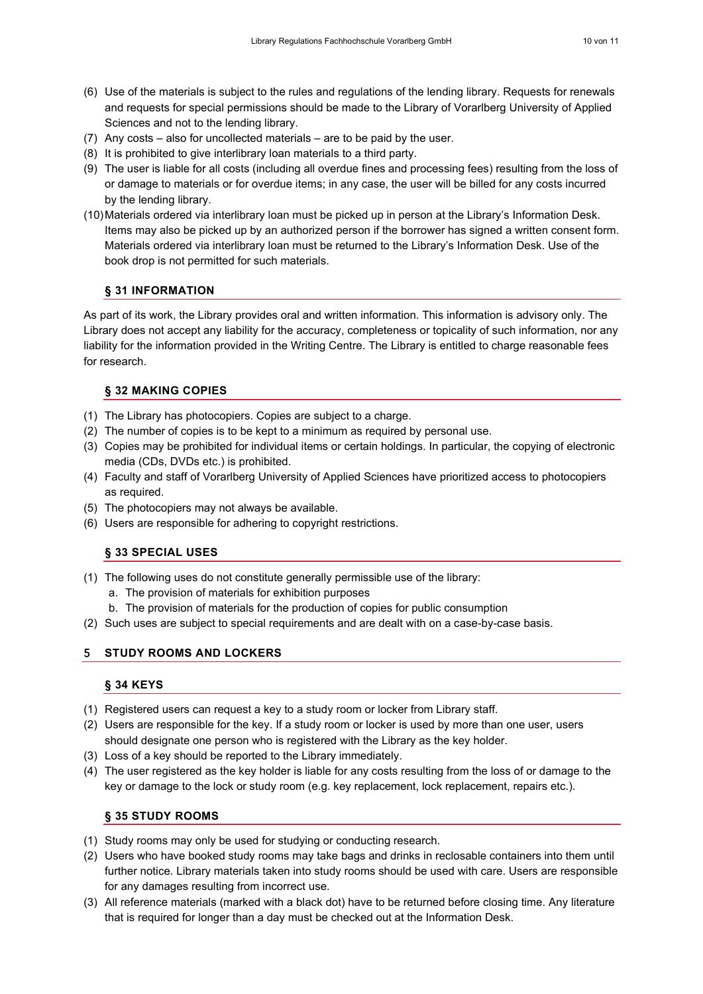- (6) Use of the materials is subject to the rules and regulations of the lending library. Requests for renewals and requests for special permissions should be made to the Library of Vorarlberg University of Applied Sciences and not to the lending library.
- (7) Any costs also for uncollected materials are to be paid by the user.
- (8) It is prohibited to give interlibrary loan materials to a third party.
- (9) The user is liable for all costs (including all overdue fines and processing fees) resulting from the loss of or damage to materials or for overdue items; in any case, the user will be billed for any costs incurred by the lending library.
- (10)Materials ordered via interlibrary loan must be picked up in person at the Library's Information Desk. Items may also be picked up by an authorized person if the borrower has signed a written consent form. Materials ordered via interlibrary loan must be returned to the Library's Information Desk. Use of the book drop is not permitted for such materials.

## <span id="page-9-0"></span>**§ 31 INFORMATION**

As part of its work, the Library provides oral and written information. This information is advisory only. The Library does not accept any liability for the accuracy, completeness or topicality of such information, nor any liability for the information provided in the Writing Centre. The Library is entitled to charge reasonable fees for research.

#### <span id="page-9-1"></span>**§ 32 MAKING COPIES**

- (1) The Library has photocopiers. Copies are subject to a charge.
- (2) The number of copies is to be kept to a minimum as required by personal use.
- (3) Copies may be prohibited for individual items or certain holdings. In particular, the copying of electronic media (CDs, DVDs etc.) is prohibited.
- (4) Faculty and staff of Vorarlberg University of Applied Sciences have prioritized access to photocopiers as required.
- (5) The photocopiers may not always be available.
- <span id="page-9-2"></span>(6) Users are responsible for adhering to copyright restrictions.

# **§ 33 SPECIAL USES**

- (1) The following uses do not constitute generally permissible use of the library:
	- a. The provision of materials for exhibition purposes
	- b. The provision of materials for the production of copies for public consumption
- <span id="page-9-3"></span>(2) Such uses are subject to special requirements and are dealt with on a case-by-case basis.

# <span id="page-9-4"></span>5 **STUDY ROOMS AND LOCKERS**

#### **§ 34 KEYS**

- (1) Registered users can request a key to a study room or locker from Library staff.
- (2) Users are responsible for the key. If a study room or locker is used by more than one user, users should designate one person who is registered with the Library as the key holder.
- (3) Loss of a key should be reported to the Library immediately.
- (4) The user registered as the key holder is liable for any costs resulting from the loss of or damage to the key or damage to the lock or study room (e.g. key replacement, lock replacement, repairs etc.).

# <span id="page-9-5"></span>**§ 35 STUDY ROOMS**

- (1) Study rooms may only be used for studying or conducting research.
- (2) Users who have booked study rooms may take bags and drinks in reclosable containers into them until further notice. Library materials taken into study rooms should be used with care. Users are responsible for any damages resulting from incorrect use.
- (3) All reference materials (marked with a black dot) have to be returned before closing time. Any literature that is required for longer than a day must be checked out at the Information Desk.